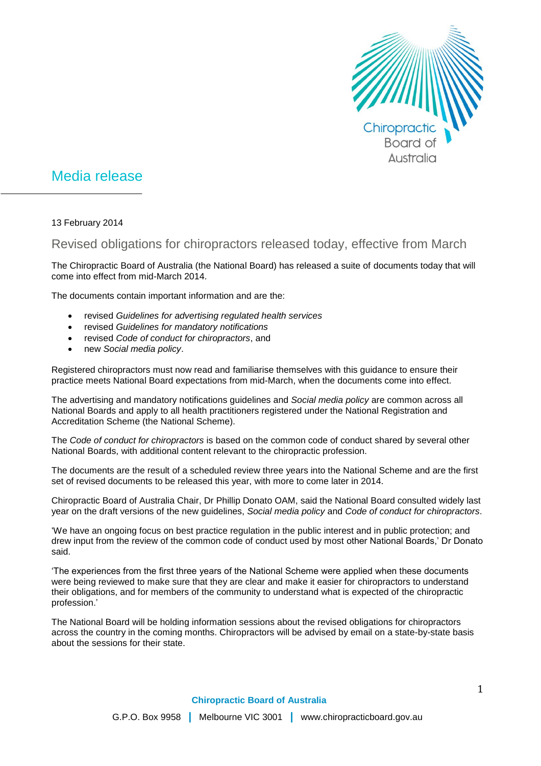

## Media release

13 February 2014

## Revised obligations for chiropractors released today, effective from March

The Chiropractic Board of Australia (the National Board) has released a suite of documents today that will come into effect from mid-March 2014.

The documents contain important information and are the:

- revised *Guidelines for advertising regulated health services*
- revised *Guidelines for mandatory notifications*
- revised *Code of conduct for chiropractors*, and
- new *Social media policy*.

Registered chiropractors must now read and familiarise themselves with this guidance to ensure their practice meets National Board expectations from mid-March, when the documents come into effect.

The advertising and mandatory notifications guidelines and *Social media policy* are common across all National Boards and apply to all health practitioners registered under the National Registration and Accreditation Scheme (the National Scheme).

The *Code of conduct for chiropractors* is based on the common code of conduct shared by several other National Boards, with additional content relevant to the chiropractic profession.

The documents are the result of a scheduled review three years into the National Scheme and are the first set of revised documents to be released this year, with more to come later in 2014.

Chiropractic Board of Australia Chair, Dr Phillip Donato OAM, said the National Board consulted widely last year on the draft versions of the new guidelines, *Social media policy* and *Code of conduct for chiropractors*.

'We have an ongoing focus on best practice regulation in the public interest and in public protection; and drew input from the review of the common code of conduct used by most other National Boards,' Dr Donato said.

'The experiences from the first three years of the National Scheme were applied when these documents were being reviewed to make sure that they are clear and make it easier for chiropractors to understand their obligations, and for members of the community to understand what is expected of the chiropractic profession.'

The National Board will be holding information sessions about the revised obligations for chiropractors across the country in the coming months. Chiropractors will be advised by email on a state-by-state basis about the sessions for their state.

**Chiropractic Board of Australia**